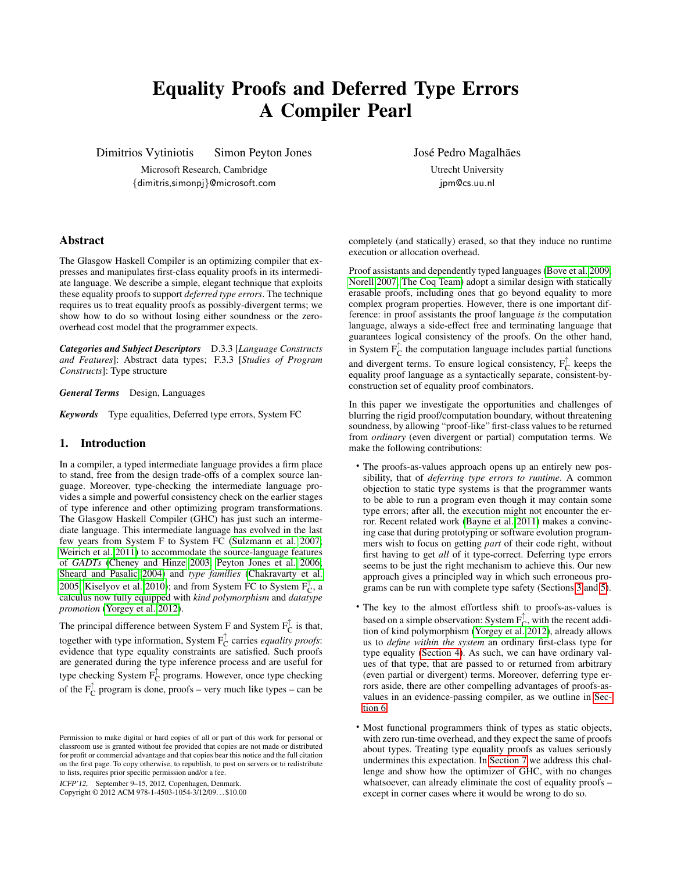# Equality Proofs and Deferred Type Errors A Compiler Pearl

Dimitrios Vytiniotis Simon Peyton Jones

Microsoft Research, Cambridge {dimitris,simonpj}@microsoft.com José Pedro Magalhães Utrecht University jpm@cs.uu.nl

## Abstract

The Glasgow Haskell Compiler is an optimizing compiler that expresses and manipulates first-class equality proofs in its intermediate language. We describe a simple, elegant technique that exploits these equality proofs to support *deferred type errors*. The technique requires us to treat equality proofs as possibly-divergent terms; we show how to do so without losing either soundness or the zerooverhead cost model that the programmer expects.

*Categories and Subject Descriptors* D.3.3 [*Language Constructs and Features*]: Abstract data types; F.3.3 [*Studies of Program Constructs*]: Type structure

*General Terms* Design, Languages

*Keywords* Type equalities, Deferred type errors, System FC

## 1. Introduction

In a compiler, a typed intermediate language provides a firm place to stand, free from the design trade-offs of a complex source language. Moreover, type-checking the intermediate language provides a simple and powerful consistency check on the earlier stages of type inference and other optimizing program transformations. The Glasgow Haskell Compiler (GHC) has just such an intermediate language. This intermediate language has evolved in the last few years from System F to System FC [\(Sulzmann et al. 2007;](#page-11-0) [Weirich et al. 2011\)](#page-11-1) to accommodate the source-language features of *GADTs* [\(Cheney and Hinze 2003;](#page-10-0) [Peyton Jones et al. 2006;](#page-11-2) [Sheard and Pasalic 2004\)](#page-11-3) and *type families* [\(Chakravarty et al.](#page-10-1) [2005;](#page-10-1) [Kiselyov et al. 2010\)](#page-11-4); and from System FC to System  $F_C^{\uparrow}$ , a calculus now fully equipped with *kind polymorphism* and *datatype promotion* [\(Yorgey et al. 2012\)](#page-11-5).

The principal difference between System F and System  $F_C^{\uparrow}$  is that, together with type information, System F<sup>↑</sup> C carries *equality proofs*: evidence that type equality constraints are satisfied. Such proofs are generated during the type inference process and are useful for type checking System  $F_C^{\uparrow}$  programs. However, once type checking of the  $F_C^{\uparrow}$  program is done, proofs – very much like types – can be

ICFP'12, September 9–15, 2012, Copenhagen, Denmark.

Copyright © 2012 ACM 978-1-4503-1054-3/12/09. . . \$10.00

completely (and statically) erased, so that they induce no runtime execution or allocation overhead.

Proof assistants and dependently typed languages [\(Bove et al. 2009;](#page-10-2) [Norell 2007;](#page-11-6) [The Coq Team\)](#page-11-7) adopt a similar design with statically erasable proofs, including ones that go beyond equality to more complex program properties. However, there is one important difference: in proof assistants the proof language *is* the computation language, always a side-effect free and terminating language that guarantees logical consistency of the proofs. On the other hand, in System  $F_C^{\uparrow}$  the computation language includes partial functions

and divergent terms. To ensure logical consistency,  $F_C^{\uparrow}$  keeps the equality proof language as a syntactically separate, consistent-byconstruction set of equality proof combinators.

In this paper we investigate the opportunities and challenges of blurring the rigid proof/computation boundary, without threatening soundness, by allowing "proof-like" first-class values to be returned from *ordinary* (even divergent or partial) computation terms. We make the following contributions:

- The proofs-as-values approach opens up an entirely new possibility, that of *deferring type errors to runtime*. A common objection to static type systems is that the programmer wants to be able to run a program even though it may contain some type errors; after all, the execution might not encounter the error. Recent related work [\(Bayne et al. 2011\)](#page-10-3) makes a convincing case that during prototyping or software evolution programmers wish to focus on getting *part* of their code right, without first having to get *all* of it type-correct. Deferring type errors seems to be just the right mechanism to achieve this. Our new approach gives a principled way in which such erroneous programs can be run with complete type safety (Sections [3](#page-1-0) and [5\)](#page-4-0).
- The key to the almost effortless shift to proofs-as-values is based on a simple observation: System  $F_C^{\uparrow}$ , with the recent addition of kind polymorphism [\(Yorgey et al. 2012\)](#page-11-5), already allows us to *define within the system* an ordinary first-class type for type equality [\(Section 4\)](#page-3-0). As such, we can have ordinary values of that type, that are passed to or returned from arbitrary (even partial or divergent) terms. Moreover, deferring type errors aside, there are other compelling advantages of proofs-asvalues in an evidence-passing compiler, as we outline in [Sec](#page-6-0)[tion 6.](#page-6-0)
- Most functional programmers think of types as static objects, with zero run-time overhead, and they expect the same of proofs about types. Treating type equality proofs as values seriously undermines this expectation. In [Section 7](#page-7-0) we address this challenge and show how the optimizer of GHC, with no changes whatsoever, can already eliminate the cost of equality proofs – except in corner cases where it would be wrong to do so.

Permission to make digital or hard copies of all or part of this work for personal or classroom use is granted without fee provided that copies are not made or distributed for profit or commercial advantage and that copies bear this notice and the full citation on the first page. To copy otherwise, to republish, to post on servers or to redistribute to lists, requires prior specific permission and/or a fee.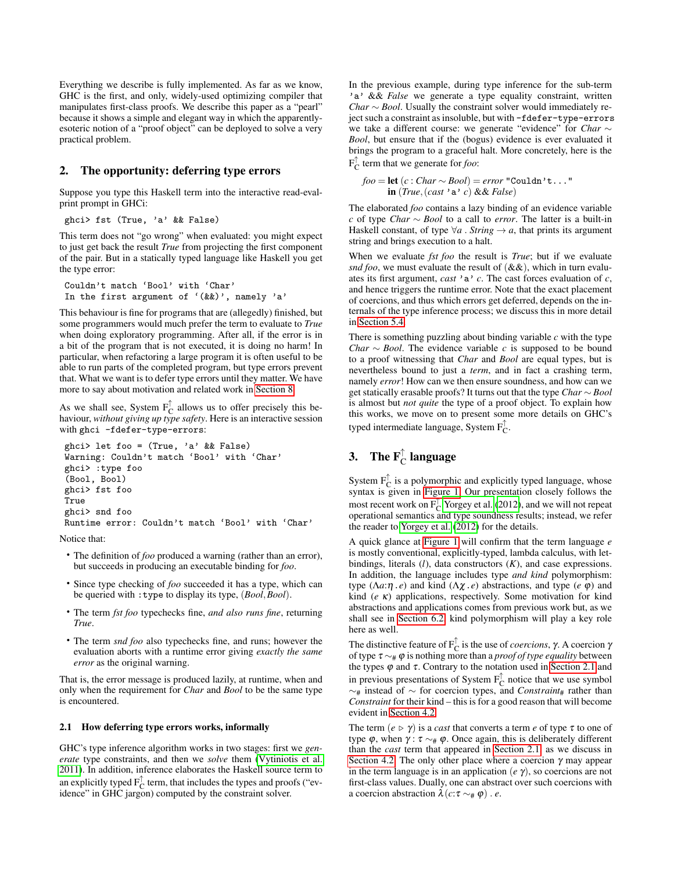Everything we describe is fully implemented. As far as we know, GHC is the first, and only, widely-used optimizing compiler that manipulates first-class proofs. We describe this paper as a "pearl" because it shows a simple and elegant way in which the apparentlyesoteric notion of a "proof object" can be deployed to solve a very practical problem.

## <span id="page-1-2"></span>2. The opportunity: deferring type errors

Suppose you type this Haskell term into the interactive read-evalprint prompt in GHCi:

ghci> fst (True, 'a' && False)

This term does not "go wrong" when evaluated: you might expect to just get back the result *True* from projecting the first component of the pair. But in a statically typed language like Haskell you get the type error:

```
Couldn't match 'Bool' with 'Char'
In the first argument of '(kk)', namely 'a'
```
This behaviour is fine for programs that are (allegedly) finished, but some programmers would much prefer the term to evaluate to *True* when doing exploratory programming. After all, if the error is in a bit of the program that is not executed, it is doing no harm! In particular, when refactoring a large program it is often useful to be able to run parts of the completed program, but type errors prevent that. What we want is to defer type errors until they matter. We have more to say about motivation and related work in [Section 8.](#page-8-0)

As we shall see, System  $F_C^{\uparrow}$  allows us to offer precisely this behaviour, *without giving up type safety*. Here is an interactive session with ghci -fdefer-type-errors:

```
ghci> let foo = (True, 'a' && False)
Warning: Couldn't match 'Bool' with 'Char'
ghci> :type foo
(Bool, Bool)
ghci> fst foo
True
ghci> snd foo
Runtime error: Couldn't match 'Bool' with 'Char'
```
Notice that:

- The definition of *foo* produced a warning (rather than an error), but succeeds in producing an executable binding for *foo*.
- Since type checking of *foo* succeeded it has a type, which can be queried with :type to display its type, (*Bool*,*Bool*).
- The term *fst foo* typechecks fine, *and also runs fine*, returning *True*.
- The term *snd foo* also typechecks fine, and runs; however the evaluation aborts with a runtime error giving *exactly the same error* as the original warning.

That is, the error message is produced lazily, at runtime, when and only when the requirement for *Char* and *Bool* to be the same type is encountered.

## <span id="page-1-1"></span>2.1 How deferring type errors works, informally

GHC's type inference algorithm works in two stages: first we *generate* type constraints, and then we *solve* them [\(Vytiniotis et al.](#page-11-8) [2011\)](#page-11-8). In addition, inference elaborates the Haskell source term to an explicitly typed  $F_C^{\uparrow}$  term, that includes the types and proofs ("evidence" in GHC jargon) computed by the constraint solver.

In the previous example, during type inference for the sub-term 'a' && *False* we generate a type equality constraint, written *Char* ∼ *Bool*. Usually the constraint solver would immediately reject such a constraint as insoluble, but with -fdefer-type-errors we take a different course: we generate "evidence" for *Char* ∼ *Bool*, but ensure that if the (bogus) evidence is ever evaluated it brings the program to a graceful halt. More concretely, here is the  $F_C^{\uparrow}$  term that we generate for *foo*:

*foo* = **let**  $(c : Char ∼ Bool) = error$  "Couldn't..." in (*True*,(*cast* 'a' *c*) && *False*)

The elaborated *foo* contains a lazy binding of an evidence variable *c* of type *Char* ∼ *Bool* to a call to *error*. The latter is a built-in Haskell constant, of type  $\forall a$ . *String*  $\rightarrow a$ , that prints its argument string and brings execution to a halt.

When we evaluate *fst foo* the result is *True*; but if we evaluate *snd foo*, we must evaluate the result of  $(\&\&\&\)$ , which in turn evaluates its first argument, *cast* 'a' *c*. The cast forces evaluation of *c*, and hence triggers the runtime error. Note that the exact placement of coercions, and thus which errors get deferred, depends on the internals of the type inference process; we discuss this in more detail in [Section 5.4.](#page-5-0)

There is something puzzling about binding variable *c* with the type *Char*  $\sim$  *Bool*. The evidence variable *c* is supposed to be bound to a proof witnessing that *Char* and *Bool* are equal types, but is nevertheless bound to just a *term*, and in fact a crashing term, namely *error*! How can we then ensure soundness, and how can we get statically erasable proofs? It turns out that the type *Char* ∼ *Bool* is almost but *not quite* the type of a proof object. To explain how this works, we move on to present some more details on GHC's typed intermediate language, System  $F_C^{\uparrow}$ .

## <span id="page-1-0"></span>3. The  $\mathbf{F}_{\mathbf{C}}^{\uparrow}$  language

System  $F_C^{\uparrow}$  is a polymorphic and explicitly typed language, whose syntax is given in [Figure 1.](#page-2-0) Our presentation closely follows the most recent work on  $\overline{F}_C^{\uparrow}$  [Yorgey et al.](#page-11-5) [\(2012\)](#page-11-5), and we will not repeat operational semantics and type soundness results; instead, we refer the reader to [Yorgey et al.](#page-11-5) [\(2012\)](#page-11-5) for the details.

A quick glance at [Figure 1](#page-2-0) will confirm that the term language *e* is mostly conventional, explicitly-typed, lambda calculus, with letbindings, literals (*l*), data constructors (*K*), and case expressions. In addition, the language includes type *and kind* polymorphism: type ( $Λa:\eta$ .*e*) and kind ( $Λχ.$ *e*) abstractions, and type (*e*  $\phi$ ) and kind (*e* κ) applications, respectively. Some motivation for kind abstractions and applications comes from previous work but, as we shall see in [Section 6.2,](#page-6-1) kind polymorphism will play a key role here as well.

The distinctive feature of  $F_C^{\uparrow}$  is the use of *coercions*, γ. A coercion γ of type τ ∼# ϕ is nothing more than a *proof of type equality* between the types  $\varphi$  and  $\tau$ . Contrary to the notation used in [Section 2.1](#page-1-1) and in previous presentations of System  $F_C^{\uparrow}$  notice that we use symbol  $∼$ # instead of  $∼$  for coercion types, and *Constraint*# rather than *Constraint* for their kind – this is for a good reason that will become evident in [Section 4.2.](#page-3-1)

The term  $(e \triangleright \gamma)$  is a *cast* that converts a term *e* of type  $\tau$  to one of type φ, when  $\gamma$ : τ ~  $\psi$ . Once again, this is deliberately different than the *cast* term that appeared in [Section 2.1,](#page-1-1) as we discuss in [Section 4.2.](#page-3-1) The only other place where a coercion  $\gamma$  may appear in the term language is in an application (*e* γ), so coercions are not first-class values. Dually, one can abstract over such coercions with a coercion abstraction  $λ$ (*c*:τ ∼<sub>#</sub>  $φ$ ) . *e*.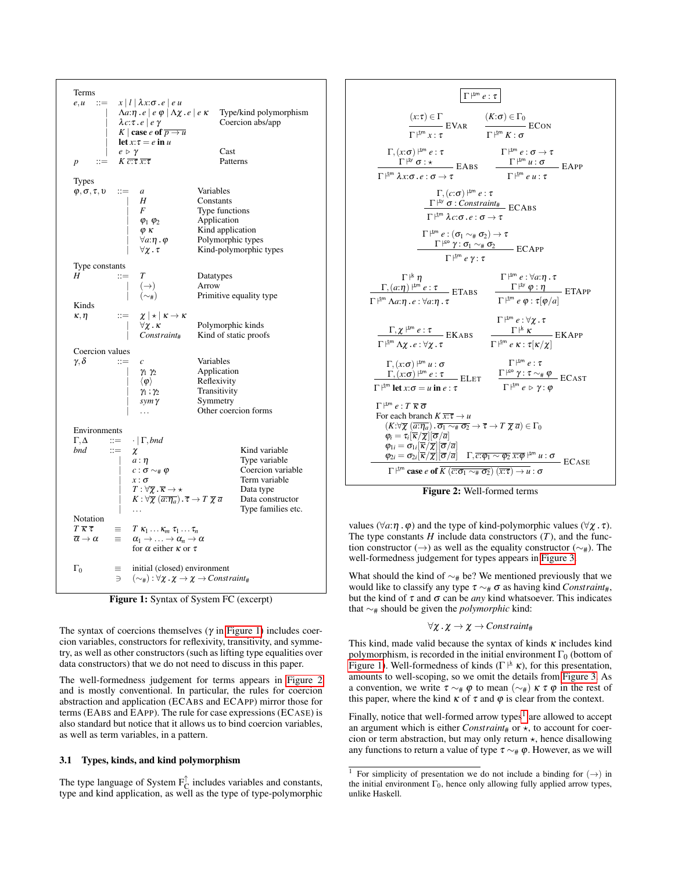<span id="page-2-0"></span>

| Terms                                                                                                 | $e, u$ ::= $x   l   \lambda x : \sigma . e   e u$<br>$\Lambda$ a:η.e   e φ   $\Lambda$ χ.e   e κ<br>$\lambda c{:}\tau . e \mid e \gamma$<br>K   case e of $\overline{p \rightarrow u}$<br>let $x: \tau = e$ in u<br>$e \triangleright \gamma$                                                                             | Type/kind polymorphism<br>Coercion abs/app<br>Cast                                                                          |  |
|-------------------------------------------------------------------------------------------------------|---------------------------------------------------------------------------------------------------------------------------------------------------------------------------------------------------------------------------------------------------------------------------------------------------------------------------|-----------------------------------------------------------------------------------------------------------------------------|--|
| $::=$<br>$\boldsymbol{p}$                                                                             | $K \overline{c:\tau} \overline{x:\tau}$                                                                                                                                                                                                                                                                                   | Patterns                                                                                                                    |  |
| Types<br>$\varphi, \sigma, \tau, \upsilon$                                                            | $\mathrel{\mathop:}=$<br>a<br>Н<br>F<br>$\varphi_1$ $\varphi_2$<br>$\varphi \kappa$<br>$\forall a:\eta \cdot \varphi$<br>$\forall \chi \, . \, \tau$                                                                                                                                                                      | Variables<br>Constants<br>Type functions<br>Application<br>Kind application<br>Polymorphic types<br>Kind-polymorphic types  |  |
| Type constants                                                                                        |                                                                                                                                                                                                                                                                                                                           |                                                                                                                             |  |
| Η                                                                                                     | $\mathrel{\mathop:}=$<br>T<br>$\left(\rightarrow\right)\\ \left(\sim_{\#}\right)$                                                                                                                                                                                                                                         | Datatypes<br>Arrow<br>Primitive equality type                                                                               |  |
| Kinds                                                                                                 |                                                                                                                                                                                                                                                                                                                           |                                                                                                                             |  |
| $\kappa, \eta$                                                                                        | $\begin{array}{cccl} ::= & \chi \mid \star \mid \kappa \rightarrow \kappa \\ &   & \forall \chi \, . \, \kappa \end{array}$<br>$Constant$ #                                                                                                                                                                               | Polymorphic kinds<br>Kind of static proofs                                                                                  |  |
| Coercion values                                                                                       |                                                                                                                                                                                                                                                                                                                           |                                                                                                                             |  |
| $\gamma, \delta$                                                                                      | $::=$<br>$\mathcal{C}$<br>$\gamma_1$ $\gamma_2$<br>$\langle \phi \rangle$<br>$\gamma_1$ ; $\gamma_2$<br>symγ<br>.                                                                                                                                                                                                         | Variables<br>Application<br>Reflexivity<br>Transitivity<br>Symmetry<br>Other coercion forms                                 |  |
| Environments                                                                                          |                                                                                                                                                                                                                                                                                                                           |                                                                                                                             |  |
| $\Gamma, \Delta$<br>bnd                                                                               | $\qquad \qquad ::= \qquad$<br>$\cdot   \Gamma, bnd$<br>$\mathrel{\mathop:}=$<br>χ<br>$a: \eta$<br>$c: \sigma \sim_{\#} \varphi$<br>$x : \sigma$<br>$T:\forall\overline{\chi}\:.\: \overline{\kappa}\to\star$<br>$K:\forall\overline{\chi}\ (\overline{a:\eta_a})\cdot\overline{\tau}\to T\ \overline{\chi}\ \overline{a}$ | Kind variable<br>Type variable<br>Coercion variable<br>Term variable<br>Data type<br>Data constructor<br>Type families etc. |  |
| Notation<br>$T \mathbin{\overline{\kappa}} \overline{\tau}$<br>$\overline{\alpha} \rightarrow \alpha$ | $T \kappa_1 \ldots \kappa_m \tau_1 \ldots \tau_n$<br>≡.<br>$\alpha_1 \rightarrow \ldots \rightarrow \alpha_n \rightarrow \alpha$<br>$\equiv$<br>for $\alpha$ either $\kappa$ or $\tau$                                                                                                                                    |                                                                                                                             |  |
| $\Gamma_0$                                                                                            | Ξ.<br>∍                                                                                                                                                                                                                                                                                                                   | initial (closed) environment<br>$(\sim_{\#}) : \forall \chi \cdot \chi \rightarrow \chi \rightarrow \text{Constraint}_{\#}$ |  |

Figure 1: Syntax of System FC (excerpt)

The syntax of coercions themselves ( $\gamma$  in [Figure 1\)](#page-2-0) includes coercion variables, constructors for reflexivity, transitivity, and symmetry, as well as other constructors (such as lifting type equalities over data constructors) that we do not need to discuss in this paper.

The well-formedness judgement for terms appears in [Figure 2](#page-2-1) and is mostly conventional. In particular, the rules for coercion abstraction and application (ECABS and ECAPP) mirror those for terms (EABS and EAPP). The rule for case expressions (ECASE) is also standard but notice that it allows us to bind coercion variables, as well as term variables, in a pattern.

## 3.1 Types, kinds, and kind polymorphism

The type language of System  $F_C^{\uparrow}$  includes variables and constants, type and kind application, as well as the type of type-polymorphic

<span id="page-2-1"></span>

Figure 2: Well-formed terms

values ( $\forall \alpha$ : $\eta$ . $\varphi$ ) and the type of kind-polymorphic values ( $\forall \chi$ . $\tau$ ). The type constants  $H$  include data constructors  $(T)$ , and the function constructor (→) as well as the equality constructor ( $\sim_{\#}$ ). The well-formedness judgement for types appears in [Figure 3.](#page-3-2)

What should the kind of  $\sim$ # be? We mentioned previously that we would like to classify any type  $\tau \sim_{\#} \sigma$  as having kind *Constraint*#, but the kind of  $\tau$  and  $\sigma$  can be *any* kind whatsoever. This indicates that ∼# should be given the *polymorphic* kind:

## $\forall \chi \cdot \chi \rightarrow \chi \rightarrow$  *Constraint*#

This kind, made valid because the syntax of kinds  $\kappa$  includes kind polymorphism, is recorded in the initial environment  $\Gamma_0$  (bottom of [Figure 1\)](#page-2-0). Well-formedness of kinds ( $\Gamma \not\models \kappa$ ), for this presentation, amounts to well-scoping, so we omit the details from [Figure 3.](#page-3-2) As a convention, we write  $\tau \sim_{\#} \varphi$  to mean  $(\sim_{\#}) \kappa \tau \varphi$  in the rest of this paper, where the kind  $\kappa$  of  $\tau$  and  $\varphi$  is clear from the context.

Finally, notice that well-formed arrow types<sup>[1](#page-2-2)</sup> are allowed to accept an argument which is either *Constraint*# or  $\star$ , to account for coercion or term abstraction, but may only return  $\star$ , hence disallowing any functions to return a value of type  $\tau \sim_{\#} \varphi$ . However, as we will

<span id="page-2-2"></span><sup>&</sup>lt;sup>1</sup> For simplicity of presentation we do not include a binding for  $(\rightarrow)$  in the initial environment  $\Gamma_0$ , hence only allowing fully applied arrow types, unlike Haskell.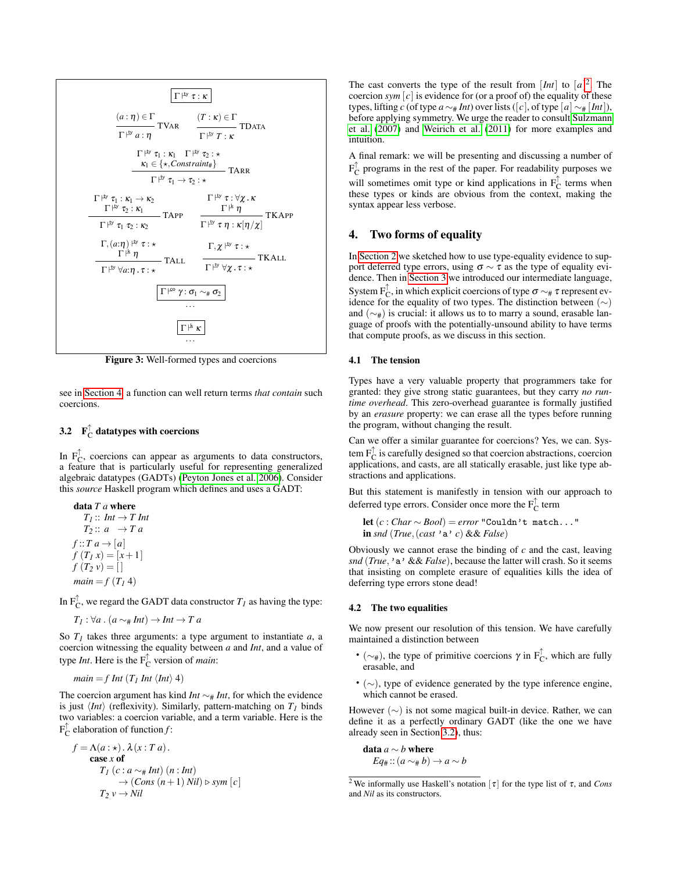<span id="page-3-2"></span>

Figure 3: Well-formed types and coercions

see in [Section 4,](#page-3-0) a function can well return terms *that contain* such coercions.

## <span id="page-3-4"></span>3.2  $\mathbf{F}_{\mathbf{C}}^{\uparrow}$  datatypes with coercions

In  $F_C^{\uparrow}$ , coercions can appear as arguments to data constructors, a feature that is particularly useful for representing generalized algebraic datatypes (GADTs) [\(Peyton Jones et al. 2006\)](#page-11-2). Consider this *source* Haskell program which defines and uses a GADT:

data *T a* where  $T_1$  :: *Int*  $\rightarrow$  *T Int*  $T_2$  ::  $a \rightarrow T a$  $f: T a \rightarrow [a]$  $f(T_1 x) = [x+1]$  $f(T_2 v) = []$  $main = f(T_1 4)$ 

In  $F_C^{\uparrow}$ , we regard the GADT data constructor  $T_I$  as having the type:

$$
T_I: \forall a \,.\,(a \sim_{\#} Int) \rightarrow Int \rightarrow T\,a
$$

So  $T_I$  takes three arguments: a type argument to instantiate  $a$ , a coercion witnessing the equality between *a* and *Int*, and a value of type *Int*. Here is the  $F_C^{\uparrow}$  version of *main*:

*main* = *f Int*  $(T_1 \text{ Int } \langle \text{Int} \rangle 4)$ 

The coercion argument has kind *Int* ∼# *Int*, for which the evidence is just  $\langle Int \rangle$  (reflexivity). Similarly, pattern-matching on  $T_I$  binds two variables: a coercion variable, and a term variable. Here is the  $F_C^{\uparrow}$  elaboration of function *f*:

$$
f = \Lambda(a : \star) \cdot \lambda(x : T a).
$$
  
**case** x **of**  

$$
T_I (c : a \sim \star Int) (n : Int)
$$

$$
\rightarrow (Cons (n + 1) Nil) \triangleright sym [c]
$$

$$
T_2 v \rightarrow Nil
$$

The cast converts the type of the result from  $[Int]$  to  $[a]^2$  $[a]^2$ . The coercion *sym*  $[c]$  is evidence for (or a proof of) the equality of these types, lifting *c* (of type  $a \sim_{\#} Int$ ) over lists ([*c*], of type [ $a \sim_{\#} [Int]$ ), before applying symmetry. We urge the reader to consult [Sulzmann](#page-11-0) [et al.](#page-11-0) [\(2007\)](#page-11-0) and [Weirich et al.](#page-11-1) [\(2011\)](#page-11-1) for more examples and intuition.

A final remark: we will be presenting and discussing a number of  $F_C^{\uparrow}$  programs in the rest of the paper. For readability purposes we will sometimes omit type or kind applications in  $F_C^{\uparrow}$  terms when these types or kinds are obvious from the context, making the syntax appear less verbose.

## <span id="page-3-0"></span>4. Two forms of equality

In [Section 2](#page-1-2) we sketched how to use type-equality evidence to support deferred type errors, using  $\sigma \sim \tau$  as the type of equality evidence. Then in [Section 3](#page-1-0) we introduced our intermediate language, System  $\overline{F}_C^{\uparrow}$ , in which explicit coercions of type  $\sigma \sim_{\#} \tau$  represent evidence for the equality of two types. The distinction between (∼) and  $(\sim_{\#})$  is crucial: it allows us to to marry a sound, erasable language of proofs with the potentially-unsound ability to have terms that compute proofs, as we discuss in this section.

## 4.1 The tension

Types have a very valuable property that programmers take for granted: they give strong static guarantees, but they carry *no runtime overhead*. This zero-overhead guarantee is formally justified by an *erasure* property: we can erase all the types before running the program, without changing the result.

Can we offer a similar guarantee for coercions? Yes, we can. System  $F_C^{\uparrow}$  is carefully designed so that coercion abstractions, coercion applications, and casts, are all statically erasable, just like type abstractions and applications.

But this statement is manifestly in tension with our approach to deferred type errors. Consider once more the  $F_C^{\uparrow}$  term

let 
$$
(c: Char \sim Bool) = error
$$
 "Couldn't match..."  
in *snd* (*True*, (*cast* 'a' c) && *False*)

Obviously we cannot erase the binding of *c* and the cast, leaving *snd* (*True*,'a' && *False*), because the latter will crash. So it seems that insisting on complete erasure of equalities kills the idea of deferring type errors stone dead!

## <span id="page-3-1"></span>4.2 The two equalities

We now present our resolution of this tension. We have carefully maintained a distinction between

- ( $\sim_{\#}$ ), the type of primitive coercions  $\gamma$  in  $F_C^{\uparrow}$ , which are fully erasable, and
- (∼), type of evidence generated by the type inference engine, which cannot be erased.

However  $(\sim)$  is not some magical built-in device. Rather, we can define it as a perfectly ordinary GADT (like the one we have already seen in Section [3.2\)](#page-3-4), thus:

data *a* ∼ *b* where  $Eq_{\#}$  ::  $(a \sim_{\#} b) \rightarrow a \sim b$ 

<span id="page-3-3"></span><sup>&</sup>lt;sup>2</sup> We informally use Haskell's notation  $[\tau]$  for the type list of  $\tau$ , and *Cons* and *Nil* as its constructors.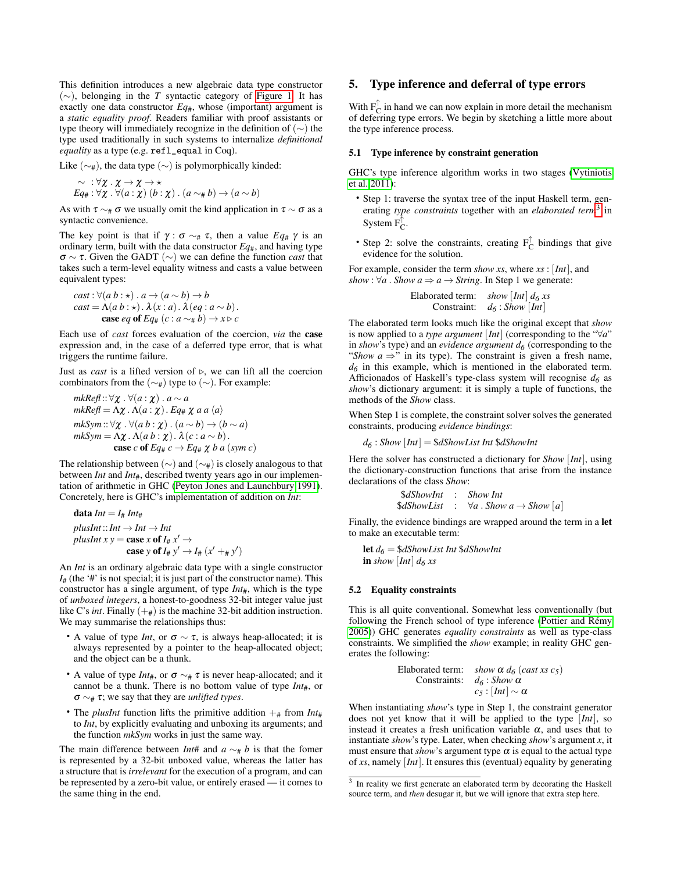This definition introduces a new algebraic data type constructor (∼), belonging in the *T* syntactic category of [Figure 1.](#page-2-0) It has exactly one data constructor  $Eq<sub>#</sub>$ , whose (important) argument is a *static equality proof*. Readers familiar with proof assistants or type theory will immediately recognize in the definition of (∼) the type used traditionally in such systems to internalize *definitional equality* as a type (e.g. refl\_equal in Coq).

Like ( $\sim_{#}$ ), the data type ( $\sim$ ) is polymorphically kinded:

$$
\sim :\forall \chi \cdot \chi \rightarrow \chi \rightarrow \star
$$
  
\n
$$
Eq_{\#}: \forall \chi \cdot \forall (a : \chi) (b : \chi) \cdot (a \sim_{\#} b) \rightarrow (a \sim b)
$$

As with  $\tau \sim_{\#} \sigma$  we usually omit the kind application in  $\tau \sim \sigma$  as a syntactic convenience.

The key point is that if  $\gamma : \sigma \sim_{\#} \tau$ , then a value  $Eq_{\#} \gamma$  is an ordinary term, built with the data constructor  $Eq<sub>#</sub>$ , and having type σ ∼ τ. Given the GADT (∼) we can define the function *cast* that takes such a term-level equality witness and casts a value between equivalent types:

cast: 
$$
\forall (a b : \star) . a \rightarrow (a \sim b) \rightarrow b
$$
  
cast =  $\Lambda(a b : \star) . \lambda(x : a) . \lambda (eq : a \sim b)$ .  
case eq of Eq#  $(c : a \sim_{\#} b) \rightarrow x \triangleright c$ 

Each use of *cast* forces evaluation of the coercion, *via* the case expression and, in the case of a deferred type error, that is what triggers the runtime failure.

Just as *cast* is a lifted version of  $\triangleright$ , we can lift all the coercion combinators from the  $(\sim_{\#})$  type to  $(\sim)$ . For example:

$$
mkRef!::\forall \chi \cdot \forall (a:\chi) \cdot a \sim a
$$
  

$$
mkRef! = \Lambda \chi \cdot \Lambda(a:\chi) \cdot Eq_{\#} \chi a a \langle a \rangle
$$
  

$$
mkSym::\forall \chi \cdot \forall (a b:\chi) \cdot (a \sim b) \rightarrow (b \sim a)
$$
  

$$
mkSym = \Lambda \chi \cdot \Lambda(a b:\chi) \cdot \lambda(c:a \sim b).
$$
  
**case** c **of** Eq<sub>#</sub> c  $\rightarrow Eq_{\#} \chi b a (sym c)$ 

The relationship between ( $\sim$ ) and ( $\sim$ #) is closely analogous to that between *Int* and *Int*#, described twenty years ago in our implementation of arithmetic in GHC [\(Peyton Jones and Launchbury 1991\)](#page-11-9). Concretely, here is GHC's implementation of addition on *Int*:

**data** 
$$
Int = I_{\#} Int_{\#}
$$
\n $plusInt :: Int \rightarrow Int \rightarrow Int$ \n $plusInt x y = \text{case } x \text{ of } I_{\#} x' \rightarrow$ \n $\text{case } y \text{ of } I_{\#} y' \rightarrow I_{\#} (x' +_{\#} y')$ 

An *Int* is an ordinary algebraic data type with a single constructor  $I_{\#}$  (the '#' is not special; it is just part of the constructor name). This constructor has a single argument, of type *Int*#, which is the type of *unboxed integers*, a honest-to-goodness 32-bit integer value just like C's *int*. Finally  $(+)$  is the machine 32-bit addition instruction. We may summarise the relationships thus:

- A value of type *Int*, or  $\sigma \sim \tau$ , is always heap-allocated; it is always represented by a pointer to the heap-allocated object; and the object can be a thunk.
- A value of type *Int*#, or  $\sigma \sim$  *π τ* is never heap-allocated; and it cannot be a thunk. There is no bottom value of type *Int*#, or σ ∼# τ; we say that they are *unlifted types*.
- The *plusInt* function lifts the primitive addition  $+_{\#}$  from *Int*# to *Int*, by explicitly evaluating and unboxing its arguments; and the function *mkSym* works in just the same way.

The main difference between *Int*# and  $a \sim_{\#} b$  is that the fomer is represented by a 32-bit unboxed value, whereas the latter has a structure that is *irrelevant* for the execution of a program, and can be represented by a zero-bit value, or entirely erased — it comes to the same thing in the end.

## <span id="page-4-0"></span>5. Type inference and deferral of type errors

With  $F_C^{\uparrow}$  in hand we can now explain in more detail the mechanism of deferring type errors. We begin by sketching a little more about the type inference process.

## <span id="page-4-2"></span>5.1 Type inference by constraint generation

GHC's type inference algorithm works in two stages [\(Vytiniotis](#page-11-8) [et al. 2011\)](#page-11-8):

- Step 1: traverse the syntax tree of the input Haskell term, generating *type constraints* together with an *elaborated term*[3](#page-4-1) in System  $\overrightarrow{F_C}$ .
- Step 2: solve the constraints, creating  $F_C^{\uparrow}$  bindings that give evidence for the solution.

For example, consider the term *show xs*, where *xs* : [*Int*], and *show* :  $\forall a$ . *Show*  $a \Rightarrow a \rightarrow$  *String*. In Step 1 we generate:

> Elaborated term: *show* [*Int*] *d<sup>6</sup> xs* Constraint: *d<sup>6</sup>* : *Show* [*Int*]

The elaborated term looks much like the original except that *show* is now applied to a *type argument* [*Int*] (corresponding to the " $\forall a$ " in *show*'s type) and an *evidence argument d<sup>6</sup>* (corresponding to the "*Show a*  $\Rightarrow$ " in its type). The constraint is given a fresh name,  $d<sub>6</sub>$  in this example, which is mentioned in the elaborated term. Afficionados of Haskell's type-class system will recognise *d<sup>6</sup>* as *show*'s dictionary argument: it is simply a tuple of functions, the methods of the *Show* class.

When Step 1 is complete, the constraint solver solves the generated constraints, producing *evidence bindings*:

*d<sup>6</sup>* : *Show* [*Int*] = \$*dShowList Int* \$*dShowInt*

Here the solver has constructed a dictionary for *Show* [*Int*], using the dictionary-construction functions that arise from the instance declarations of the class *Show*:

> \$*dShowInt* : *Show Int*  $\text{\$dShowList} : \forall a \text{ .} Show a \rightarrow Show [a]$

Finally, the evidence bindings are wrapped around the term in a let to make an executable term:

let *d<sup>6</sup>* = \$*dShowList Int* \$*dShowInt* in *show* [*Int*]  $d_6$  *xs* 

#### 5.2 Equality constraints

This is all quite conventional. Somewhat less conventionally (but following the French school of type inference (Pottier and Rémy [2005\)](#page-11-10)) GHC generates *equality constraints* as well as type-class constraints. We simplified the *show* example; in reality GHC generates the following:

Elaborated term: *show* 
$$
\alpha d_6
$$
 (*cast xs c5*)  
Constraints:  $d_6$  : *Show*  $\alpha$   
 $c_5$  : [*Int*] ~  $\alpha$ 

When instantiating *show*'s type in Step 1, the constraint generator does not yet know that it will be applied to the type [*Int*], so instead it creates a fresh unification variable  $\alpha$ , and uses that to instantiate *show*'s type. Later, when checking *show*'s argument *x*, it must ensure that *show*'s argument type  $\alpha$  is equal to the actual type of *xs*, namely [*Int*]. It ensures this (eventual) equality by generating

<span id="page-4-1"></span><sup>&</sup>lt;sup>3</sup> In reality we first generate an elaborated term by decorating the Haskell source term, and *then* desugar it, but we will ignore that extra step here.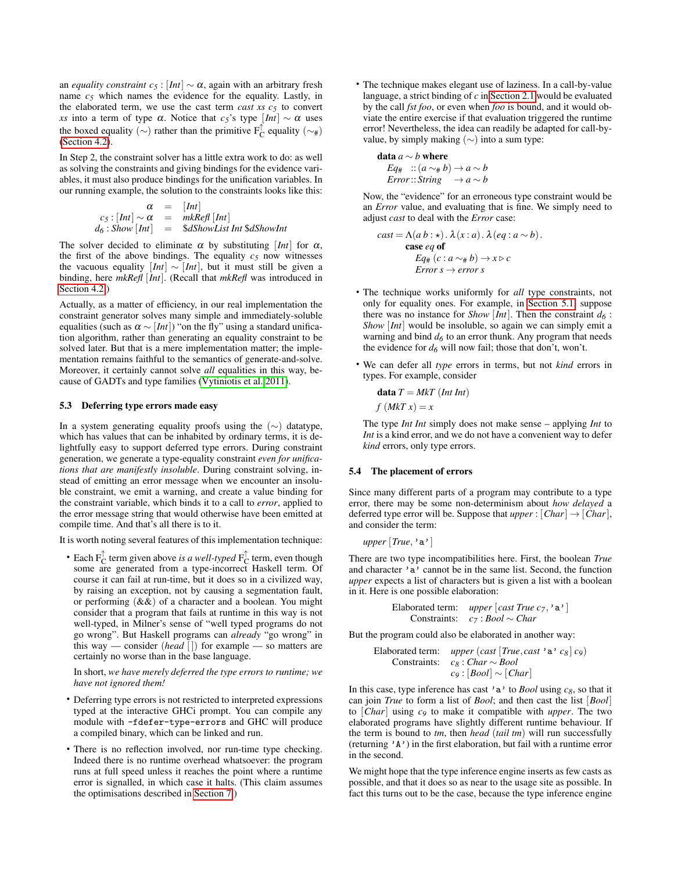an *equality constraint*  $c_5$  : [*Int*]  $\sim \alpha$ , again with an arbitrary fresh name  $c<sub>5</sub>$  which names the evidence for the equality. Lastly, in the elaborated term, we use the cast term *cast xs c<sub>5</sub>* to convert *xs* into a term of type  $\alpha$ . Notice that *c*<sup>*5*</sup>'s type [*Int*] ~  $\alpha$  uses the boxed equality ( $\sim$ ) rather than the primitive  $F_C^{\uparrow}$  equality ( $\sim$ #) [\(Section 4.2\)](#page-3-1).

In Step 2, the constraint solver has a little extra work to do: as well as solving the constraints and giving bindings for the evidence variables, it must also produce bindings for the unification variables. In our running example, the solution to the constraints looks like this:

$$
\alpha = [Int]
$$
  
\n
$$
c_5 : [Int] \sim \alpha = mkRef [Int]
$$
  
\n
$$
d_6 : Show [Int] = $dShowW list Int $dShowInt
$$

The solver decided to eliminate  $\alpha$  by substituting [*Int*] for  $\alpha$ , the first of the above bindings. The equality  $c<sub>5</sub>$  now witnesses the vacuous equality  $[Int] \sim [Int]$ , but it must still be given a binding, here *mkRefl* [*Int*]. (Recall that *mkRefl* was introduced in [Section 4.2.](#page-3-1))

Actually, as a matter of efficiency, in our real implementation the constraint generator solves many simple and immediately-soluble equalities (such as  $\alpha \sim [Int]$ ) "on the fly" using a standard unification algorithm, rather than generating an equality constraint to be solved later. But that is a mere implementation matter; the implementation remains faithful to the semantics of generate-and-solve. Moreover, it certainly cannot solve *all* equalities in this way, because of GADTs and type families [\(Vytiniotis et al. 2011\)](#page-11-8).

## <span id="page-5-1"></span>5.3 Deferring type errors made easy

In a system generating equality proofs using the  $(\sim)$  datatype, which has values that can be inhabited by ordinary terms, it is delightfully easy to support deferred type errors. During constraint generation, we generate a type-equality constraint *even for unifications that are manifestly insoluble*. During constraint solving, instead of emitting an error message when we encounter an insoluble constraint, we emit a warning, and create a value binding for the constraint variable, which binds it to a call to *error*, applied to the error message string that would otherwise have been emitted at compile time. And that's all there is to it.

It is worth noting several features of this implementation technique:

• Each  $F_C^{\uparrow}$  term given above *is a well-typed*  $F_C^{\uparrow}$  term, even though some are generated from a type-incorrect Haskell term. Of course it can fail at run-time, but it does so in a civilized way, by raising an exception, not by causing a segmentation fault, or performing  $(x\&\)$  of a character and a boolean. You might consider that a program that fails at runtime in this way is not well-typed, in Milner's sense of "well typed programs do not go wrong". But Haskell programs can *already* "go wrong" in this way — consider (*head* [ ]) for example — so matters are certainly no worse than in the base language.

In short, *we have merely deferred the type errors to runtime; we have not ignored them!*

- Deferring type errors is not restricted to interpreted expressions typed at the interactive GHCi prompt. You can compile any module with -fdefer-type-errors and GHC will produce a compiled binary, which can be linked and run.
- There is no reflection involved, nor run-time type checking. Indeed there is no runtime overhead whatsoever: the program runs at full speed unless it reaches the point where a runtime error is signalled, in which case it halts. (This claim assumes the optimisations described in [Section 7.](#page-7-0))

• The technique makes elegant use of laziness. In a call-by-value language, a strict binding of *c* in [Section 2.1](#page-1-1) would be evaluated by the call *fst foo*, or even when *foo* is bound, and it would obviate the entire exercise if that evaluation triggered the runtime error! Nevertheless, the idea can readily be adapted for call-byvalue, by simply making  $(∼)$  into a sum type:

data *a* ∼ *b* where *Eq*# ::  $(a \sim_{#} b) \rightarrow a \sim b$ *Error*:: *String*  $\rightarrow$  *a*  $\sim$  *b* 

Now, the "evidence" for an erroneous type constraint would be an *Error* value, and evaluating that is fine. We simply need to adjust *cast* to deal with the *Error* case:

 $cast = \Lambda(a b : \star) . \lambda(x : a) . \lambda(eq : a \sim b).$ case *eq* of  $Eq_{\#}(c: a \sim_{\#} b) \rightarrow x \triangleright c$ *Error s* → *error s*

- The technique works uniformly for *all* type constraints, not only for equality ones. For example, in [Section 5.1,](#page-4-2) suppose there was no instance for *Show* [*Int*]. Then the constraint  $d_6$ : *Show* [*Int*] would be insoluble, so again we can simply emit a warning and bind  $d_6$  to an error thunk. Any program that needs the evidence for  $d_6$  will now fail; those that don't, won't.
- We can defer all *type* errors in terms, but not *kind* errors in types. For example, consider

 $data T = MkT$  (*Int Int*)  $f$   $(MkT x) = x$ 

The type *Int Int* simply does not make sense – applying *Int* to *Int* is a kind error, and we do not have a convenient way to defer *kind* errors, only type errors.

## <span id="page-5-0"></span>5.4 The placement of errors

Since many different parts of a program may contribute to a type error, there may be some non-determinism about *how delayed* a deferred type error will be. Suppose that  $upper : [Char] \rightarrow [Char]$ , and consider the term:

*upper* [*True*,'a']

There are two type incompatibilities here. First, the boolean *True* and character 'a' cannot be in the same list. Second, the function *upper* expects a list of characters but is given a list with a boolean in it. Here is one possible elaboration:

> Elaborated term: *upper*  $[cast True c_7, 'a']$ Constraints: *c<sup>7</sup>* : *Bool* ∼ *Char*

But the program could also be elaborated in another way:

Elaborated term: *upper* (cast [True, cast 'a' cs] cs)

\nConstraints: 
$$
c_8 : Char \sim Bool
$$

\n $c_9 : [Bool] \sim [Char]$ 

In this case, type inference has cast 'a' to *Bool* using *c8*, so that it can join *True* to form a list of *Bool*; and then cast the list [*Bool*] to [*Char*] using *c<sup>9</sup>* to make it compatible with *upper*. The two elaborated programs have slightly different runtime behaviour. If the term is bound to *tm*, then *head* (*tail tm*) will run successfully (returning 'A') in the first elaboration, but fail with a runtime error in the second.

We might hope that the type inference engine inserts as few casts as possible, and that it does so as near to the usage site as possible. In fact this turns out to be the case, because the type inference engine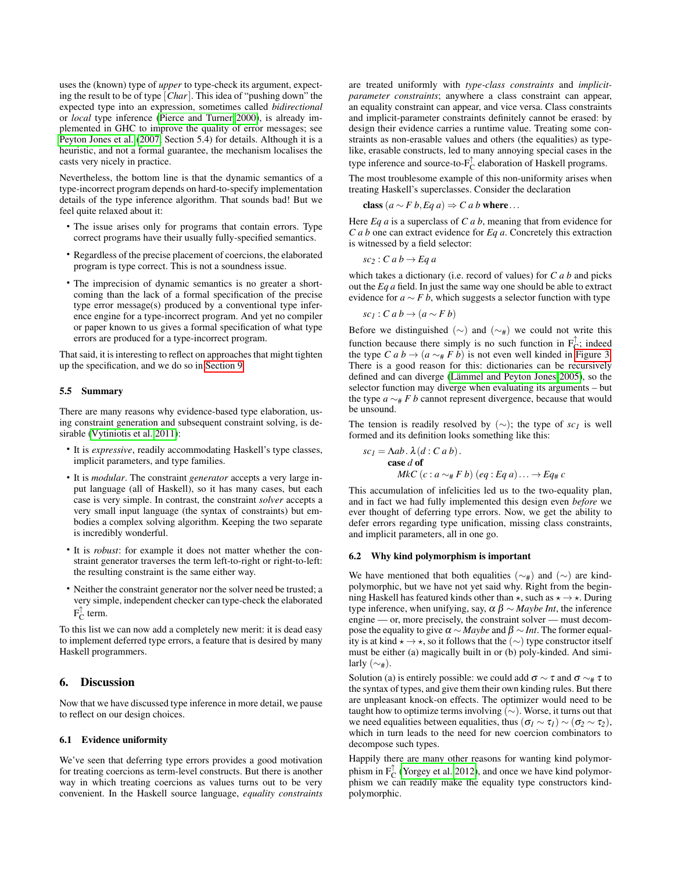uses the (known) type of *upper* to type-check its argument, expecting the result to be of type [*Char*]. This idea of "pushing down" the expected type into an expression, sometimes called *bidirectional* or *local* type inference [\(Pierce and Turner 2000\)](#page-11-11), is already implemented in GHC to improve the quality of error messages; see [Peyton Jones et al.](#page-11-12) [\(2007,](#page-11-12) Section 5.4) for details. Although it is a heuristic, and not a formal guarantee, the mechanism localises the casts very nicely in practice.

Nevertheless, the bottom line is that the dynamic semantics of a type-incorrect program depends on hard-to-specify implementation details of the type inference algorithm. That sounds bad! But we feel quite relaxed about it:

- The issue arises only for programs that contain errors. Type correct programs have their usually fully-specified semantics.
- Regardless of the precise placement of coercions, the elaborated program is type correct. This is not a soundness issue.
- The imprecision of dynamic semantics is no greater a shortcoming than the lack of a formal specification of the precise type error message(s) produced by a conventional type inference engine for a type-incorrect program. And yet no compiler or paper known to us gives a formal specification of what type errors are produced for a type-incorrect program.

That said, it is interesting to reflect on approaches that might tighten up the specification, and we do so in [Section 9.](#page-9-0)

#### 5.5 Summary

There are many reasons why evidence-based type elaboration, using constraint generation and subsequent constraint solving, is desirable [\(Vytiniotis et al. 2011\)](#page-11-8):

- It is *expressive*, readily accommodating Haskell's type classes, implicit parameters, and type families.
- It is *modular*. The constraint *generator* accepts a very large input language (all of Haskell), so it has many cases, but each case is very simple. In contrast, the constraint *solver* accepts a very small input language (the syntax of constraints) but embodies a complex solving algorithm. Keeping the two separate is incredibly wonderful.
- It is *robust*: for example it does not matter whether the constraint generator traverses the term left-to-right or right-to-left: the resulting constraint is the same either way.
- Neither the constraint generator nor the solver need be trusted; a very simple, independent checker can type-check the elaborated  $F_C^{\uparrow}$  term.

To this list we can now add a completely new merit: it is dead easy to implement deferred type errors, a feature that is desired by many Haskell programmers.

## <span id="page-6-0"></span>6. Discussion

Now that we have discussed type inference in more detail, we pause to reflect on our design choices.

## 6.1 Evidence uniformity

We've seen that deferring type errors provides a good motivation for treating coercions as term-level constructs. But there is another way in which treating coercions as values turns out to be very convenient. In the Haskell source language, *equality constraints* are treated uniformly with *type-class constraints* and *implicitparameter constraints*; anywhere a class constraint can appear, an equality constraint can appear, and vice versa. Class constraints and implicit-parameter constraints definitely cannot be erased: by design their evidence carries a runtime value. Treating some constraints as non-erasable values and others (the equalities) as typelike, erasable constructs, led to many annoying special cases in the type inference and source-to- $F_C^{\uparrow}$  elaboration of Haskell programs.

The most troublesome example of this non-uniformity arises when treating Haskell's superclasses. Consider the declaration

$$
class (a \sim F b, Eq a) \Rightarrow C a b where...
$$

Here *Eq a* is a superclass of *C a b*, meaning that from evidence for *C a b* one can extract evidence for *Eq a*. Concretely this extraction is witnessed by a field selector:

 $\int$ *sc*<sub>2</sub> : *C a b*  $\rightarrow$  *Eq a* 

which takes a dictionary (i.e. record of values) for *C a b* and picks out the *Eq a* field. In just the same way one should be able to extract evidence for *a* ∼ *F b*, which suggests a selector function with type

$$
sc_1: C\,a\,b \to (a \sim F\,b)
$$

Before we distinguished ( $\sim$ ) and ( $\sim$ #) we could not write this function because there simply is no such function in  $F_C^{\uparrow}$ ; indeed the type *C a b*  $\rightarrow$  (*a*  $\sim$  # *F b*) is not even well kinded in [Figure 3.](#page-3-2) There is a good reason for this: dictionaries can be recursively defined and can diverge (Lämmel and Peyton Jones 2005), so the selector function may diverge when evaluating its arguments – but the type  $a \sim_{\#} F b$  cannot represent divergence, because that would be unsound.

The tension is readily resolved by  $(\sim)$ ; the type of *sc<sub>1</sub>* is well formed and its definition looks something like this:

$$
sc_1 = \Lambda ab. \lambda (d : C ab).
$$
  
**case** d **of**  

$$
MkC (c : a \sim_{\#} F b) (eq : Eq a) ... \rightarrow Eq \# c
$$

This accumulation of infelicities led us to the two-equality plan, and in fact we had fully implemented this design even *before* we ever thought of deferring type errors. Now, we get the ability to defer errors regarding type unification, missing class constraints, and implicit parameters, all in one go.

#### <span id="page-6-1"></span>6.2 Why kind polymorphism is important

We have mentioned that both equalities ( $\sim$ #) and ( $\sim$ ) are kindpolymorphic, but we have not yet said why. Right from the beginning Haskell has featured kinds other than  $\star$ , such as  $\star \to \star$ . During type inference, when unifying, say,  $\alpha \beta \sim \text{Maybe Int}$ , the inference engine — or, more precisely, the constraint solver — must decompose the equality to give  $\alpha \sim \text{Maybe}$  and  $\beta \sim \text{Int}$ . The former equality is at kind  $\star \rightarrow \star$ , so it follows that the (∼) type constructor itself must be either (a) magically built in or (b) poly-kinded. And similarly  $(\sim_{\#})$ .

Solution (a) is entirely possible: we could add  $\sigma \sim \tau$  and  $\sigma \sim_{\#} \tau$  to the syntax of types, and give them their own kinding rules. But there are unpleasant knock-on effects. The optimizer would need to be taught how to optimize terms involving  $(\sim)$ . Worse, it turns out that we need equalities between equalities, thus  $(\sigma_1 \sim \tau_1) \sim (\sigma_2 \sim \tau_2)$ , which in turn leads to the need for new coercion combinators to decompose such types.

Happily there are many other reasons for wanting kind polymorphism in  $F_C^{\uparrow}$  [\(Yorgey et al. 2012\)](#page-11-5), and once we have kind polymorphism we can readily make the equality type constructors kindpolymorphic.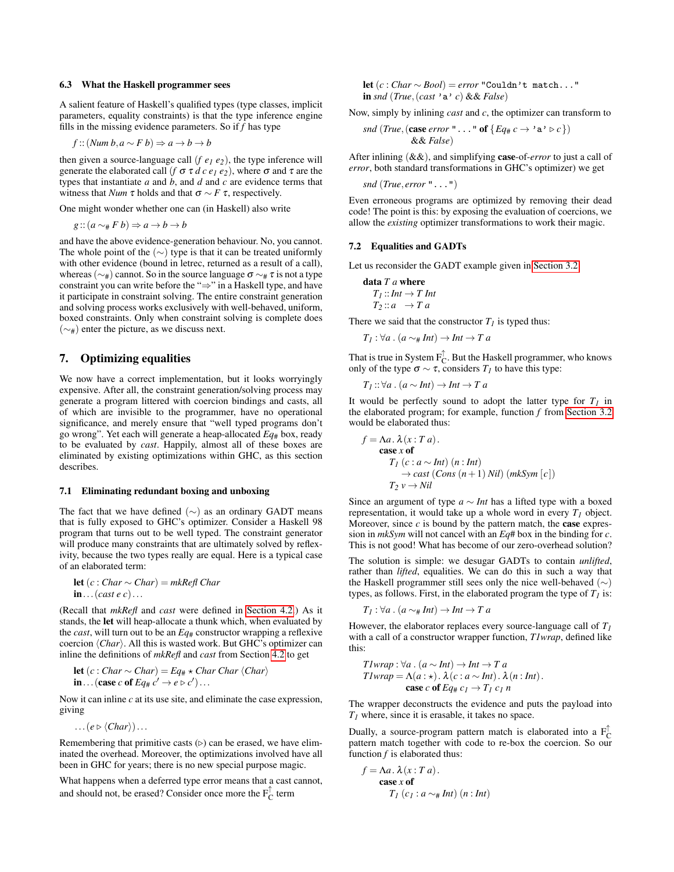## 6.3 What the Haskell programmer sees

A salient feature of Haskell's qualified types (type classes, implicit parameters, equality constraints) is that the type inference engine fills in the missing evidence parameters. So if  $f$  has type

$$
f: (Num\ b, a \sim F\ b) \Rightarrow a \to b \to b
$$

then given a source-language call (*f e<sup>1</sup> e2*), the type inference will generate the elaborated call (*f*  $\sigma \tau d c e_1 e_2$ ), where  $\sigma$  and  $\tau$  are the types that instantiate *a* and *b*, and *d* and *c* are evidence terms that witness that *Num*  $\tau$  holds and that  $\sigma \sim F \tau$ , respectively.

One might wonder whether one can (in Haskell) also write

$$
g::(a\sim_{\#} F b)\Rightarrow a\to b\to b
$$

and have the above evidence-generation behaviour. No, you cannot. The whole point of the  $(\sim)$  type is that it can be treated uniformly with other evidence (bound in letrec, returned as a result of a call), whereas ( $\sim_{\#}$ ) cannot. So in the source language  $\sigma \sim_{\#} \tau$  is not a type constraint you can write before the "⇒" in a Haskell type, and have it participate in constraint solving. The entire constraint generation and solving process works exclusively with well-behaved, uniform, boxed constraints. Only when constraint solving is complete does  $(\sim_{\#})$  enter the picture, as we discuss next.

## <span id="page-7-0"></span>7. Optimizing equalities

We now have a correct implementation, but it looks worryingly expensive. After all, the constraint generation/solving process may generate a program littered with coercion bindings and casts, all of which are invisible to the programmer, have no operational significance, and merely ensure that "well typed programs don't go wrong". Yet each will generate a heap-allocated *Eq*# box, ready to be evaluated by *cast*. Happily, almost all of these boxes are eliminated by existing optimizations within GHC, as this section describes.

#### 7.1 Eliminating redundant boxing and unboxing

The fact that we have defined  $(\sim)$  as an ordinary GADT means that is fully exposed to GHC's optimizer. Consider a Haskell 98 program that turns out to be well typed. The constraint generator will produce many constraints that are ultimately solved by reflexivity, because the two types really are equal. Here is a typical case of an elaborated term:

$$
let (c: Char \sim Char) = m k Refl Char
$$
  

$$
in ... (cast e c) ...
$$

(Recall that *mkRefl* and *cast* were defined in [Section 4.2.](#page-3-1)) As it stands, the let will heap-allocate a thunk which, when evaluated by the *cast*, will turn out to be an  $Eq_{#}$  constructor wrapping a reflexive coercion  $\langle Char \rangle$ . All this is wasted work. But GHC's optimizer can inline the definitions of *mkRefl* and *cast* from Section [4.2](#page-3-1) to get

$$
\begin{aligned} \text{let } (c: Char &< Char) = Eq_{\#} \star Char Char \langle Char \rangle \\ \text{in } \dots (\text{case } c \text{ of } Eq_{\#} c' \rightarrow e \triangleright c'). \end{aligned}
$$

Now it can inline *c* at its use site, and eliminate the case expression, giving

$$
\ldots (e \triangleright \langle Char \rangle) \ldots
$$

Remembering that primitive casts  $(\triangleright)$  can be erased, we have eliminated the overhead. Moreover, the optimizations involved have all been in GHC for years; there is no new special purpose magic.

What happens when a deferred type error means that a cast cannot, and should not, be erased? Consider once more the  $F_C^{\uparrow}$  term

let 
$$
(c : Char \sim Bool)
$$
 = error "Couldn't match..."  
in *snd* (*True*, *(cast 'a' c)* && *False*)

Now, simply by inlining *cast* and *c*, the optimizer can transform to

$$
snd (True, (case error " ... " of {Eq# c \rightarrow 'a' \triangleright c})
$$
  
&& False)

After inlining (&&), and simplifying case-of-*error* to just a call of *error*, both standard transformations in GHC's optimizer) we get

$$
snd (True, error "...")
$$

Even erroneous programs are optimized by removing their dead code! The point is this: by exposing the evaluation of coercions, we allow the *existing* optimizer transformations to work their magic.

#### 7.2 Equalities and GADTs

Let us reconsider the GADT example given in [Section 3.2:](#page-3-4)

**data** 
$$
T
$$
  $a$  **where**  
\n $T_1$  ::  $Int \rightarrow T$   $Int$   
\n $T_2$  ::  $a \rightarrow T$   $a$ 

There we said that the constructor  $T_I$  is typed thus:

$$
T_I: \forall a \,.\,(a \sim_{\#} Int) \rightarrow Int \rightarrow T\,a
$$

That is true in System  $F_C^{\uparrow}$ . But the Haskell programmer, who knows only of the type  $\sigma \sim \tau$ , considers  $T_I$  to have this type:

$$
T_1 :: \forall a \cdot (a \sim Int) \to Int \to T \, a
$$

It would be perfectly sound to adopt the latter type for  $T_I$  in the elaborated program; for example, function *f* from [Section 3.2](#page-3-4) would be elaborated thus:

$$
f = \Lambda a \cdot \lambda(x : T a).
$$
  
\n**case** x **of**  
\n
$$
T_1 (c : a \sim Int) (n : Int)
$$
\n
$$
\rightarrow cast (Cons (n + 1) Nil) (mkSym [c])
$$
\n
$$
T_2 v \rightarrow Nil
$$

Since an argument of type *a* ∼ *Int* has a lifted type with a boxed representation, it would take up a whole word in every  $T_I$  object. Moreover, since  $c$  is bound by the pattern match, the **case** expression in *mkSym* will not cancel with an *Eq*# box in the binding for *c*. This is not good! What has become of our zero-overhead solution?

The solution is simple: we desugar GADTs to contain *unlifted*, rather than *lifted*, equalities. We can do this in such a way that the Haskell programmer still sees only the nice well-behaved (∼) types, as follows. First, in the elaborated program the type of *T<sup>1</sup>* is:

$$
T_I: \forall a \,.\,(a \sim_{\#} Int) \rightarrow Int \rightarrow T\,a
$$

However, the elaborator replaces every source-language call of *T<sup>1</sup>* with a call of a constructor wrapper function, *T1wrap*, defined like this:

$$
\begin{aligned}\nT1wrap: \forall a \cdot (a \sim Int) \to Int \to T a \\
T1wrap = \Lambda(a : \star) \cdot \lambda(c : a \sim Int) \cdot \lambda(n : Int).\n\end{aligned}
$$
\n
$$
\begin{aligned}\n\text{case } c \text{ of } Eq_{\#} c_1 \to T_1 c_1 n\n\end{aligned}
$$

The wrapper deconstructs the evidence and puts the payload into  $T_I$  where, since it is erasable, it takes no space.

Dually, a source-program pattern match is elaborated into a  $F_C^{\uparrow}$ pattern match together with code to re-box the coercion. So our function *f* is elaborated thus:

$$
f = \Lambda a \cdot \lambda (x : T a).
$$
  
**case** x **of**  

$$
T_1 (c_1 : a \sim_{\#} Int) (n : Int)
$$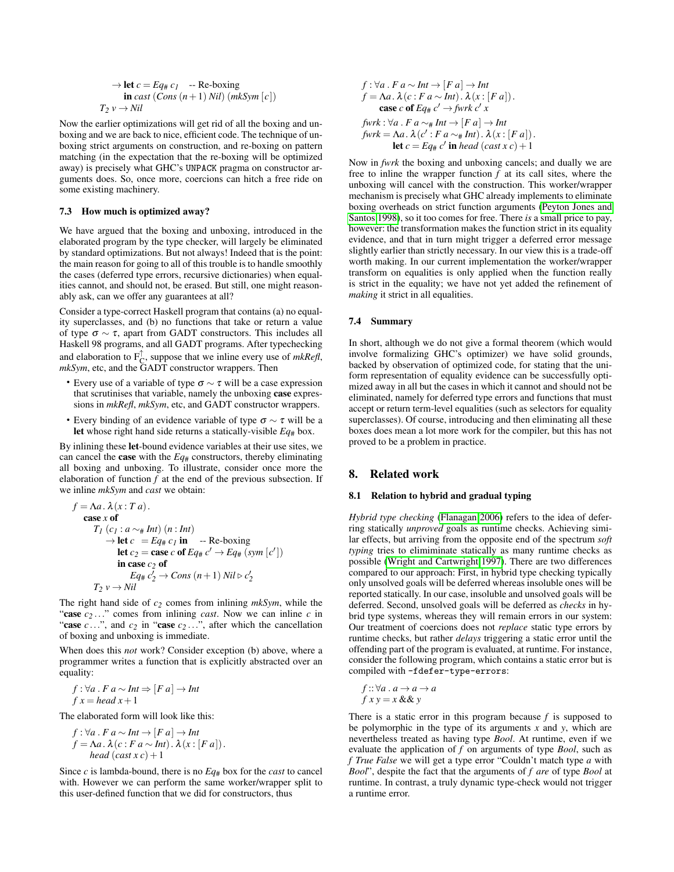$$
\rightarrow \text{let } c = Eq_{\#} c_1 \quad - \text{Re-boxing}
$$
\n
$$
\text{in } cast \text{ (Cons } (n+1) \text{ Nil}) \text{ (mkSym } [c])
$$
\n
$$
T_2 v \rightarrow Nil
$$

Now the earlier optimizations will get rid of all the boxing and unboxing and we are back to nice, efficient code. The technique of unboxing strict arguments on construction, and re-boxing on pattern matching (in the expectation that the re-boxing will be optimized away) is precisely what GHC's UNPACK pragma on constructor arguments does. So, once more, coercions can hitch a free ride on some existing machinery.

#### 7.3 How much is optimized away?

We have argued that the boxing and unboxing, introduced in the elaborated program by the type checker, will largely be eliminated by standard optimizations. But not always! Indeed that is the point: the main reason for going to all of this trouble is to handle smoothly the cases (deferred type errors, recursive dictionaries) when equalities cannot, and should not, be erased. But still, one might reasonably ask, can we offer any guarantees at all?

Consider a type-correct Haskell program that contains (a) no equality superclasses, and (b) no functions that take or return a value of type  $\sigma \sim \tau$ , apart from GADT constructors. This includes all Haskell 98 programs, and all GADT programs. After typechecking and elaboration to  $F_C^{\uparrow}$ , suppose that we inline every use of *mkRefl*, *mkSym*, etc, and the GADT constructor wrappers. Then

- Every use of a variable of type  $\sigma \sim \tau$  will be a case expression that scrutinises that variable, namely the unboxing case expressions in *mkRefl*, *mkSym*, etc, and GADT constructor wrappers.
- Every binding of an evidence variable of type  $\sigma \sim \tau$  will be a let whose right hand side returns a statically-visible  $Eq_{#}$  box.

By inlining these let-bound evidence variables at their use sites, we can cancel the **case** with the  $Eq_{#}$  constructors, thereby eliminating all boxing and unboxing. To illustrate, consider once more the elaboration of function  $f$  at the end of the previous subsection. If we inline *mkSym* and *cast* we obtain:

$$
f = \Lambda a \cdot \lambda (x : T a).
$$
  
\n**case** x of  
\n
$$
T_I (c_I : a \sim_{\#} Int) (n : Int)
$$
  
\n
$$
\rightarrow \text{let } c = Eq_{\#} c_I \text{ in } \text{--} \text{Re-boxing}
$$
  
\n
$$
\text{let } c_2 = \text{case } c \text{ of } Eq_{\#} c' \rightarrow Eq_{\#} (sym [c'])
$$
  
\nin case  $c_2$  of  
\n
$$
Eq_{\#} c'_2 \rightarrow Cons (n+1) Nil \triangleright c'_2
$$
  
\n
$$
T_2 v \rightarrow Nil
$$

The right hand side of *c<sup>2</sup>* comes from inlining *mkSym*, while the "case *c<sup>2</sup>* ..." comes from inlining *cast*. Now we can inline *c* in "case  $c \ldots$ ", and  $c_2$  in "case  $c_2 \ldots$ ", after which the cancellation of boxing and unboxing is immediate.

When does this *not* work? Consider exception (b) above, where a programmer writes a function that is explicitly abstracted over an equality:

$$
f: \forall a \, \ldotp \, F \, a \sim Int \Rightarrow [F \, a] \rightarrow Int
$$

$$
f \, x = head \, x + 1
$$

The elaborated form will look like this:

$$
f: \forall a \, . \, F \, a \sim Int \rightarrow [F \, a] \rightarrow Int
$$
  

$$
f = \Lambda a \cdot \lambda (c : F \, a \sim Int) \cdot \lambda (x : [F \, a]).
$$
  
head (cast x c) + 1

Since  $c$  is lambda-bound, there is no  $Eq<sub>#</sub>$  box for the *cast* to cancel with. However we can perform the same worker/wrapper split to this user-defined function that we did for constructors, thus

$$
f: \forall a \cdot F \, a \sim Int \rightarrow [F \, a] \rightarrow Int
$$
  
\n
$$
f = \Lambda a \cdot \lambda (c : F \, a \sim Int) \cdot \lambda (x : [F \, a]).
$$
  
\n**case**  $c$  **of**  $Eq_{\#} c' \rightarrow$   $fwrk c' x$   
\n
$$
fwrk : \forall a \cdot F \, a \sim_{\#} Int \rightarrow [F \, a] \rightarrow Int
$$
  
\n
$$
fwrk = \Lambda a \cdot \lambda (c' : F \, a \sim_{\#} Int) \cdot \lambda (x : [F \, a]).
$$
  
\n**let**  $c = Eq_{\#} c'$  **in**  $head$   $(cast \, x \, c) + 1$ 

Now in *fwrk* the boxing and unboxing cancels; and dually we are free to inline the wrapper function *f* at its call sites, where the unboxing will cancel with the construction. This worker/wrapper mechanism is precisely what GHC already implements to eliminate boxing overheads on strict function arguments [\(Peyton Jones and](#page-11-14) [Santos 1998\)](#page-11-14), so it too comes for free. There *is* a small price to pay, however: the transformation makes the function strict in its equality evidence, and that in turn might trigger a deferred error message slightly earlier than strictly necessary. In our view this is a trade-off worth making. In our current implementation the worker/wrapper transform on equalities is only applied when the function really is strict in the equality; we have not yet added the refinement of *making* it strict in all equalities.

## 7.4 Summary

In short, although we do not give a formal theorem (which would involve formalizing GHC's optimizer) we have solid grounds, backed by observation of optimized code, for stating that the uniform representation of equality evidence can be successfully optimized away in all but the cases in which it cannot and should not be eliminated, namely for deferred type errors and functions that must accept or return term-level equalities (such as selectors for equality superclasses). Of course, introducing and then eliminating all these boxes does mean a lot more work for the compiler, but this has not proved to be a problem in practice.

## <span id="page-8-0"></span>8. Related work

## 8.1 Relation to hybrid and gradual typing

*Hybrid type checking* [\(Flanagan 2006\)](#page-10-4) refers to the idea of deferring statically *unproved* goals as runtime checks. Achieving similar effects, but arriving from the opposite end of the spectrum *soft typing* tries to elimiminate statically as many runtime checks as possible [\(Wright and Cartwright 1997\)](#page-11-15). There are two differences compared to our approach: First, in hybrid type checking typically only unsolved goals will be deferred whereas insoluble ones will be reported statically. In our case, insoluble and unsolved goals will be deferred. Second, unsolved goals will be deferred as *checks* in hybrid type systems, whereas they will remain errors in our system: Our treatment of coercions does not *replace* static type errors by runtime checks, but rather *delays* triggering a static error until the offending part of the program is evaluated, at runtime. For instance, consider the following program, which contains a static error but is compiled with -fdefer-type-errors:

$$
f :: \forall a \cdot a \to a \to a
$$
  

$$
f xy = x \&& y
$$

There is a static error in this program because *f* is supposed to be polymorphic in the type of its arguments *x* and *y*, which are nevertheless treated as having type *Bool*. At runtime, even if we evaluate the application of *f* on arguments of type *Bool*, such as *f True False* we will get a type error "Couldn't match type *a* with *Bool*", despite the fact that the arguments of *f are* of type *Bool* at runtime. In contrast, a truly dynamic type-check would not trigger a runtime error.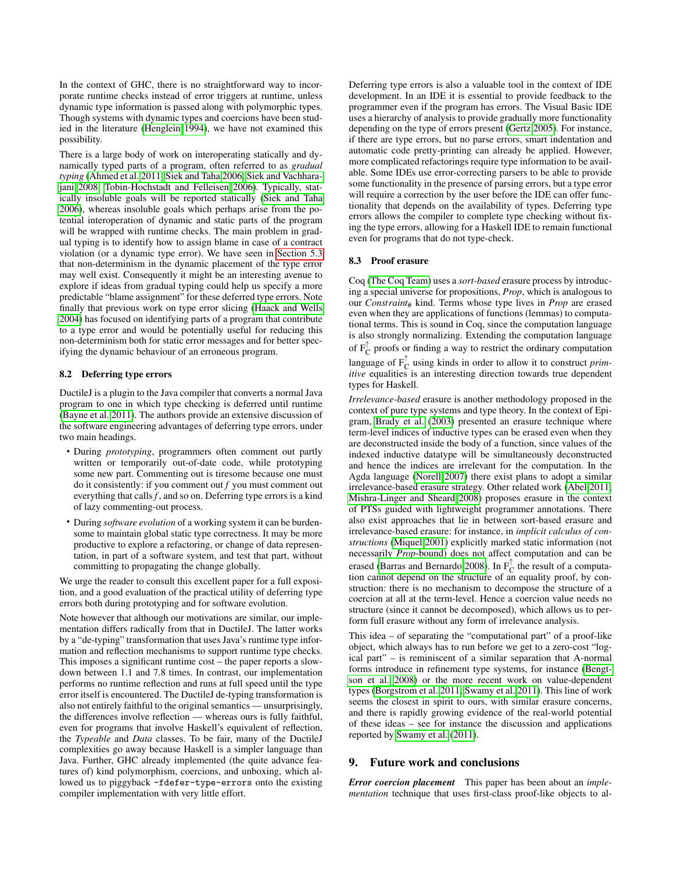In the context of GHC, there is no straightforward way to incorporate runtime checks instead of error triggers at runtime, unless dynamic type information is passed along with polymorphic types. Though systems with dynamic types and coercions have been studied in the literature [\(Henglein 1994\)](#page-10-5), we have not examined this possibility.

There is a large body of work on interoperating statically and dynamically typed parts of a program, often referred to as *gradual typing* [\(Ahmed et al. 2011;](#page-10-6) [Siek and Taha 2006;](#page-11-16) [Siek and Vachhara](#page-11-17)[jani 2008;](#page-11-17) [Tobin-Hochstadt and Felleisen 2006\)](#page-11-18). Typically, statically insoluble goals will be reported statically [\(Siek and Taha](#page-11-16) [2006\)](#page-11-16), whereas insoluble goals which perhaps arise from the potential interoperation of dynamic and static parts of the program will be wrapped with runtime checks. The main problem in gradual typing is to identify how to assign blame in case of a contract violation (or a dynamic type error). We have seen in [Section 5.3](#page-5-1) that non-determinism in the dynamic placement of the type error may well exist. Consequently it might be an interesting avenue to explore if ideas from gradual typing could help us specify a more predictable "blame assignment" for these deferred type errors. Note finally that previous work on type error slicing [\(Haack and Wells](#page-10-7) [2004\)](#page-10-7) has focused on identifying parts of a program that contribute to a type error and would be potentially useful for reducing this non-determinism both for static error messages and for better specifying the dynamic behaviour of an erroneous program.

## 8.2 Deferring type errors

DuctileJ is a plugin to the Java compiler that converts a normal Java program to one in which type checking is deferred until runtime [\(Bayne et al. 2011\)](#page-10-3). The authors provide an extensive discussion of the software engineering advantages of deferring type errors, under two main headings.

- During *prototyping*, programmers often comment out partly written or temporarily out-of-date code, while prototyping some new part. Commenting out is tiresome because one must do it consistently: if you comment out *f* you must comment out everything that calls  $f$ , and so on. Deferring type errors is a kind of lazy commenting-out process.
- During *software evolution* of a working system it can be burdensome to maintain global static type correctness. It may be more productive to explore a refactoring, or change of data representation, in part of a software system, and test that part, without committing to propagating the change globally.

We urge the reader to consult this excellent paper for a full exposition, and a good evaluation of the practical utility of deferring type errors both during prototyping and for software evolution.

Note however that although our motivations are similar, our implementation differs radically from that in DuctileJ. The latter works by a "de-typing" transformation that uses Java's runtime type information and reflection mechanisms to support runtime type checks. This imposes a significant runtime cost – the paper reports a slowdown between 1.1 and 7.8 times. In contrast, our implementation performs no runtime reflection and runs at full speed until the type error itself is encountered. The DuctileJ de-typing transformation is also not entirely faithful to the original semantics — unsurprisingly, the differences involve reflection — whereas ours is fully faithful, even for programs that involve Haskell's equivalent of reflection, the *Typeable* and *Data* classes. To be fair, many of the DuctileJ complexities go away because Haskell is a simpler language than Java. Further, GHC already implemented (the quite advance features of) kind polymorphism, coercions, and unboxing, which allowed us to piggyback -fdefer-type-errors onto the existing compiler implementation with very little effort.

Deferring type errors is also a valuable tool in the context of IDE development. In an IDE it is essential to provide feedback to the programmer even if the program has errors. The Visual Basic IDE uses a hierarchy of analysis to provide gradually more functionality depending on the type of errors present [\(Gertz 2005\)](#page-10-8). For instance, if there are type errors, but no parse errors, smart indentation and automatic code pretty-printing can already be applied. However, more complicated refactorings require type information to be available. Some IDEs use error-correcting parsers to be able to provide some functionality in the presence of parsing errors, but a type error will require a correction by the user before the IDE can offer functionality that depends on the availability of types. Deferring type errors allows the compiler to complete type checking without fixing the type errors, allowing for a Haskell IDE to remain functional even for programs that do not type-check.

### 8.3 Proof erasure

Coq [\(The Coq Team\)](#page-11-7) uses a *sort-based* erasure process by introducing a special universe for propositions, *Prop*, which is analogous to our *Constraint*# kind. Terms whose type lives in *Prop* are erased even when they are applications of functions (lemmas) to computational terms. This is sound in Coq, since the computation language is also strongly normalizing. Extending the computation language of  $F_C^{\uparrow}$  proofs or finding a way to restrict the ordinary computation language of  $F_C^{\uparrow}$  using kinds in order to allow it to construct *primitive* equalities is an interesting direction towards true dependent types for Haskell.

*Irrelevance-based* erasure is another methodology proposed in the context of pure type systems and type theory. In the context of Epigram, [Brady et al.](#page-10-9) [\(2003\)](#page-10-9) presented an erasure technique where term-level indices of inductive types can be erased even when they are deconstructed inside the body of a function, since values of the indexed inductive datatype will be simultaneously deconstructed and hence the indices are irrelevant for the computation. In the Agda language [\(Norell 2007\)](#page-11-6) there exist plans to adopt a similar irrelevance-based erasure strategy. Other related work [\(Abel 2011;](#page-10-10) [Mishra-Linger and Sheard 2008\)](#page-11-19) proposes erasure in the context of PTSs guided with lightweight programmer annotations. There also exist approaches that lie in between sort-based erasure and irrelevance-based erasure: for instance, in *implicit calculus of constructions* [\(Miquel 2001\)](#page-11-20) explicitly marked static information (not necessarily *Prop*-bound) does not affect computation and can be erased [\(Barras and Bernardo 2008\)](#page-10-11). In  $F_C^{\uparrow}$  the result of a computation cannot depend on the structure of an equality proof, by construction: there is no mechanism to decompose the structure of a coercion at all at the term-level. Hence a coercion value needs no structure (since it cannot be decomposed), which allows us to perform full erasure without any form of irrelevance analysis.

This idea – of separating the "computational part" of a proof-like object, which always has to run before we get to a zero-cost "logical part" – is reminiscent of a similar separation that A-normal forms introduce in refinement type systems, for instance [\(Bengt](#page-10-12)[son et al. 2008\)](#page-10-12) or the more recent work on value-dependent types [\(Borgstrom et al. 2011;](#page-10-13) [Swamy et al. 2011\)](#page-11-21). This line of work seems the closest in spirit to ours, with similar erasure concerns, and there is rapidly growing evidence of the real-world potential of these ideas – see for instance the discussion and applications reported by [Swamy et al.](#page-11-21) [\(2011\)](#page-11-21).

## <span id="page-9-0"></span>9. Future work and conclusions

*Error coercion placement* This paper has been about an *implementation* technique that uses first-class proof-like objects to al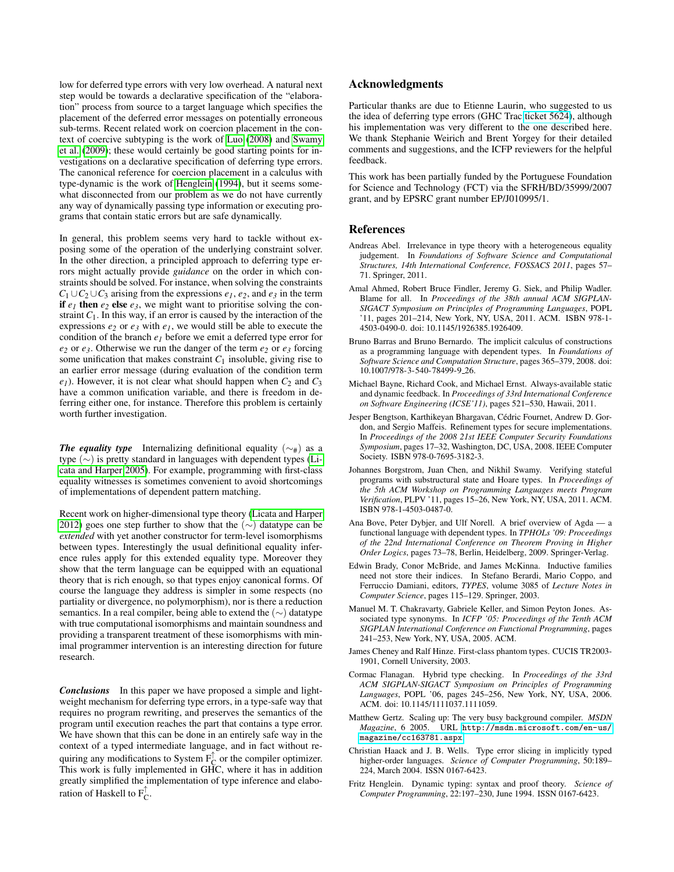low for deferred type errors with very low overhead. A natural next step would be towards a declarative specification of the "elaboration" process from source to a target language which specifies the placement of the deferred error messages on potentially erroneous sub-terms. Recent related work on coercion placement in the context of coercive subtyping is the work of [Luo](#page-11-22) [\(2008\)](#page-11-22) and [Swamy](#page-11-23) [et al.](#page-11-23) [\(2009\)](#page-11-23); these would certainly be good starting points for investigations on a declarative specification of deferring type errors. The canonical reference for coercion placement in a calculus with type-dynamic is the work of [Henglein](#page-10-5) [\(1994\)](#page-10-5), but it seems somewhat disconnected from our problem as we do not have currently any way of dynamically passing type information or executing programs that contain static errors but are safe dynamically.

In general, this problem seems very hard to tackle without exposing some of the operation of the underlying constraint solver. In the other direction, a principled approach to deferring type errors might actually provide *guidance* on the order in which constraints should be solved. For instance, when solving the constraints  $C_1 \cup C_2 \cup C_3$  arising from the expressions  $e_1, e_2$ , and  $e_3$  in the term if  $e_1$  then  $e_2$  else  $e_3$ , we might want to prioritise solving the constraint  $C_1$ . In this way, if an error is caused by the interaction of the expressions *e<sup>2</sup>* or *e<sup>3</sup>* with *e1*, we would still be able to execute the condition of the branch  $e_I$  before we emit a deferred type error for *e<sup>2</sup>* or *e3*. Otherwise we run the danger of the term *e<sup>2</sup>* or *e<sup>3</sup>* forcing some unification that makes constraint  $C_1$  insoluble, giving rise to an earlier error message (during evaluation of the condition term  $e_1$ ). However, it is not clear what should happen when  $C_2$  and  $C_3$ have a common unification variable, and there is freedom in deferring either one, for instance. Therefore this problem is certainly worth further investigation.

*The equality type* Internalizing definitional equality ( $\sim_{\#}$ ) as a type (∼) is pretty standard in languages with dependent types [\(Li](#page-11-24)[cata and Harper 2005\)](#page-11-24). For example, programming with first-class equality witnesses is sometimes convenient to avoid shortcomings of implementations of dependent pattern matching.

Recent work on higher-dimensional type theory [\(Licata and Harper](#page-11-25) [2012\)](#page-11-25) goes one step further to show that the  $(\sim)$  datatype can be *extended* with yet another constructor for term-level isomorphisms between types. Interestingly the usual definitional equality inference rules apply for this extended equality type. Moreover they show that the term language can be equipped with an equational theory that is rich enough, so that types enjoy canonical forms. Of course the language they address is simpler in some respects (no partiality or divergence, no polymorphism), nor is there a reduction semantics. In a real compiler, being able to extend the (∼) datatype with true computational isomorphisms and maintain soundness and providing a transparent treatment of these isomorphisms with minimal programmer intervention is an interesting direction for future research.

*Conclusions* In this paper we have proposed a simple and lightweight mechanism for deferring type errors, in a type-safe way that requires no program rewriting, and preserves the semantics of the program until execution reaches the part that contains a type error. We have shown that this can be done in an entirely safe way in the context of a typed intermediate language, and in fact without requiring any modifications to System  $F_C^{\uparrow}$  or the compiler optimizer. This work is fully implemented in GHC, where it has in addition greatly simplified the implementation of type inference and elaboration of Haskell to  $F_C^{\uparrow}$ .

## Acknowledgments

Particular thanks are due to Etienne Laurin, who suggested to us the idea of deferring type errors (GHC Trac [ticket 5624\)](http://hackage.haskell.org/trac/ghc/ticket/5624), although his implementation was very different to the one described here. We thank Stephanie Weirich and Brent Yorgey for their detailed comments and suggestions, and the ICFP reviewers for the helpful feedback.

This work has been partially funded by the Portuguese Foundation for Science and Technology (FCT) via the SFRH/BD/35999/2007 grant, and by EPSRC grant number EP/J010995/1.

## References

- <span id="page-10-10"></span>Andreas Abel. Irrelevance in type theory with a heterogeneous equality judgement. In *Foundations of Software Science and Computational Structures, 14th International Conference, FOSSACS 2011*, pages 57– 71. Springer, 2011.
- <span id="page-10-6"></span>Amal Ahmed, Robert Bruce Findler, Jeremy G. Siek, and Philip Wadler. Blame for all. In *Proceedings of the 38th annual ACM SIGPLAN-SIGACT Symposium on Principles of Programming Languages*, POPL '11, pages 201–214, New York, NY, USA, 2011. ACM. ISBN 978-1- 4503-0490-0. doi: 10.1145/1926385.1926409.
- <span id="page-10-11"></span>Bruno Barras and Bruno Bernardo. The implicit calculus of constructions as a programming language with dependent types. In *Foundations of Software Science and Computation Structure*, pages 365–379, 2008. doi: 10.1007/978-3-540-78499-9 26.
- <span id="page-10-3"></span>Michael Bayne, Richard Cook, and Michael Ernst. Always-available static and dynamic feedback. In *Proceedings of 33rd International Conference on Software Engineering (ICSE'11)*, pages 521–530, Hawaii, 2011.
- <span id="page-10-12"></span>Jesper Bengtson, Karthikeyan Bhargavan, Cédric Fournet, Andrew D. Gordon, and Sergio Maffeis. Refinement types for secure implementations. In *Proceedings of the 2008 21st IEEE Computer Security Foundations Symposium*, pages 17–32, Washington, DC, USA, 2008. IEEE Computer Society. ISBN 978-0-7695-3182-3.
- <span id="page-10-13"></span>Johannes Borgstrom, Juan Chen, and Nikhil Swamy. Verifying stateful programs with substructural state and Hoare types. In *Proceedings of the 5th ACM Workshop on Programming Languages meets Program Verification*, PLPV '11, pages 15–26, New York, NY, USA, 2011. ACM. ISBN 978-1-4503-0487-0.
- <span id="page-10-2"></span>Ana Bove, Peter Dybjer, and Ulf Norell. A brief overview of Agda — a functional language with dependent types. In *TPHOLs '09: Proceedings of the 22nd International Conference on Theorem Proving in Higher Order Logics*, pages 73–78, Berlin, Heidelberg, 2009. Springer-Verlag.
- <span id="page-10-9"></span>Edwin Brady, Conor McBride, and James McKinna. Inductive families need not store their indices. In Stefano Berardi, Mario Coppo, and Ferruccio Damiani, editors, *TYPES*, volume 3085 of *Lecture Notes in Computer Science*, pages 115–129. Springer, 2003.
- <span id="page-10-1"></span>Manuel M. T. Chakravarty, Gabriele Keller, and Simon Peyton Jones. Associated type synonyms. In *ICFP '05: Proceedings of the Tenth ACM SIGPLAN International Conference on Functional Programming*, pages 241–253, New York, NY, USA, 2005. ACM.
- <span id="page-10-0"></span>James Cheney and Ralf Hinze. First-class phantom types. CUCIS TR2003- 1901, Cornell University, 2003.
- <span id="page-10-4"></span>Cormac Flanagan. Hybrid type checking. In *Proceedings of the 33rd ACM SIGPLAN-SIGACT Symposium on Principles of Programming Languages*, POPL '06, pages 245–256, New York, NY, USA, 2006. ACM. doi: 10.1145/1111037.1111059.
- <span id="page-10-8"></span>Matthew Gertz. Scaling up: The very busy background compiler. *MSDN Magazine*, 6 2005. URL [http://msdn.microsoft.com/en-us/](http://msdn.microsoft.com/en-us/magazine/cc163781.aspx) [magazine/cc163781.aspx](http://msdn.microsoft.com/en-us/magazine/cc163781.aspx).
- <span id="page-10-7"></span>Christian Haack and J. B. Wells. Type error slicing in implicitly typed higher-order languages. *Science of Computer Programming*, 50:189– 224, March 2004. ISSN 0167-6423.
- <span id="page-10-5"></span>Fritz Henglein. Dynamic typing: syntax and proof theory. *Science of Computer Programming*, 22:197–230, June 1994. ISSN 0167-6423.